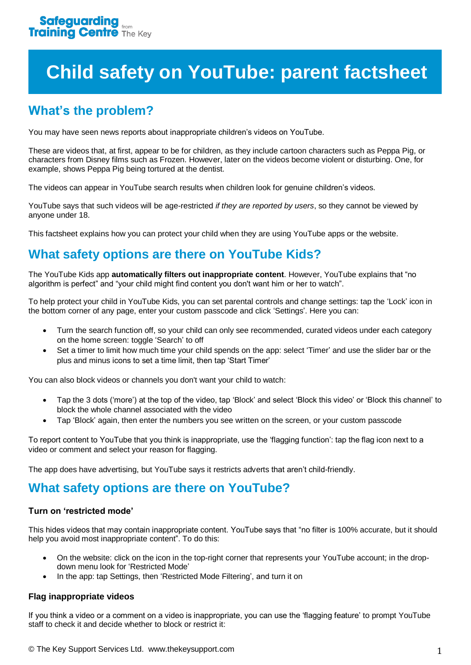# **Child safety on YouTube: parent factsheet**

# **What's the problem?**

You may have seen news reports about inappropriate children's videos on YouTube.

These are videos that, at first, appear to be for children, as they include cartoon characters such as Peppa Pig, or characters from Disney films such as Frozen. However, later on the videos become violent or disturbing. One, for example, shows Peppa Pig being tortured at the dentist.

The videos can appear in YouTube search results when children look for genuine children's videos.

YouTube says that such videos will be age-restricted *if they are reported by users*, so they cannot be viewed by anyone under 18.

This factsheet explains how you can protect your child when they are using YouTube apps or the website.

# **What safety options are there on YouTube Kids?**

The YouTube Kids app **automatically filters out inappropriate content**. However, YouTube explains that "no algorithm is perfect" and "your child might find content you don't want him or her to watch".

To help protect your child in YouTube Kids, you can set parental controls and change settings: tap the 'Lock' icon in the bottom corner of any page, enter your custom passcode and click 'Settings'. Here you can:

- Turn the search function off, so your child can only see recommended, curated videos under each category on the home screen: toggle 'Search' to off
- Set a timer to limit how much time your child spends on the app: select 'Timer' and use the slider bar or the plus and minus icons to set a time limit, then tap 'Start Timer'

You can also block videos or channels you don't want your child to watch:

- Tap the 3 dots ('more') at the top of the video, tap 'Block' and select 'Block this video' or 'Block this channel' to block the whole channel associated with the video
- Tap 'Block' again, then enter the numbers you see written on the screen, or your custom passcode

To report content to YouTube that you think is inappropriate, use the 'flagging function': tap the flag icon next to a video or comment and select your reason for flagging.

The app does have advertising, but YouTube says it restricts adverts that aren't child-friendly.

## **What safety options are there on YouTube?**

#### **Turn on 'restricted mode'**

This hides videos that may contain inappropriate content. YouTube says that "no filter is 100% accurate, but it should help you avoid most inappropriate content". To do this:

- On the website: click on the icon in the top-right corner that represents your YouTube account; in the dropdown menu look for 'Restricted Mode'
- In the app: tap Settings, then 'Restricted Mode Filtering', and turn it on

#### **Flag inappropriate videos**

If you think a video or a comment on a video is inappropriate, you can use the 'flagging feature' to prompt YouTube staff to check it and decide whether to block or restrict it: